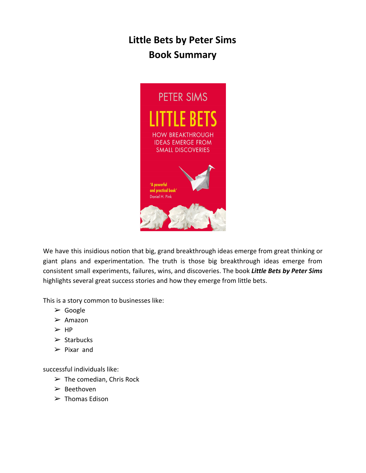# **Little Bets by Peter Sims Book Summary**



We have this insidious notion that big, grand breakthrough ideas emerge from great thinking or giant plans and experimentation. The truth is those big breakthrough ideas emerge from consistent small experiments, failures, wins, and discoveries. The book *Little Bets by Peter Sims* highlights several great success stories and how they emerge from little bets.

This is a story common to businesses like:

- ➢ Google
- $\triangleright$  Amazon
- ➢ HP
- $\triangleright$  Starbucks
- $\triangleright$  Pixar and

successful individuals like:

- $\triangleright$  The comedian, Chris Rock
- ➢ Beethoven
- $\triangleright$  Thomas Edison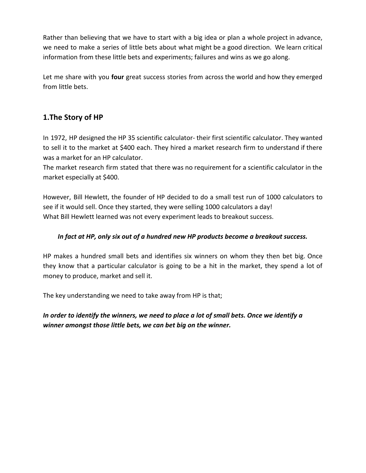Rather than believing that we have to start with a big idea or plan a whole project in advance, we need to make a series of little bets about what might be a good direction. We learn critical information from these little bets and experiments; failures and wins as we go along.

Let me share with you **four** great success stories from across the world and how they emerged from little bets.

## **1.The Story of HP**

In 1972, HP designed the HP 35 scientific calculator- their first scientific calculator. They wanted to sell it to the market at \$400 each. They hired a market research firm to understand if there was a market for an HP calculator.

The market research firm stated that there was no requirement for a scientific calculator in the market especially at \$400.

However, Bill Hewlett, the founder of HP decided to do a small test run of 1000 calculators to see if it would sell. Once they started, they were selling 1000 calculators a day! What Bill Hewlett learned was not every experiment leads to breakout success.

#### *In fact at HP, only six out of a hundred new HP products become a breakout success.*

HP makes a hundred small bets and identifies six winners on whom they then bet big. Once they know that a particular calculator is going to be a hit in the market, they spend a lot of money to produce, market and sell it.

The key understanding we need to take away from HP is that;

## *In order to identify the winners, we need to place a lot of small bets. Once we identify a winner amongst those little bets, we can bet big on the winner.*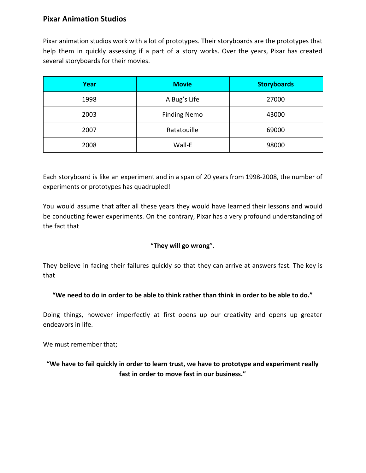## **Pixar Animation Studios**

Pixar animation studios work with a lot of prototypes. Their storyboards are the prototypes that help them in quickly assessing if a part of a story works. Over the years, Pixar has created several storyboards for their movies.

| Year | <b>Movie</b>        | <b>Storyboards</b> |
|------|---------------------|--------------------|
| 1998 | A Bug's Life        | 27000              |
| 2003 | <b>Finding Nemo</b> | 43000              |
| 2007 | Ratatouille         | 69000              |
| 2008 | Wall-E              | 98000              |

Each storyboard is like an experiment and in a span of 20 years from 1998-2008, the number of experiments or prototypes has quadrupled!

You would assume that after all these years they would have learned their lessons and would be conducting fewer experiments. On the contrary, Pixar has a very profound understanding of the fact that

#### "**They will go wrong**".

They believe in facing their failures quickly so that they can arrive at answers fast. The key is that

#### **"We need to do in order to be able to think rather than think in order to be able to do."**

Doing things, however imperfectly at first opens up our creativity and opens up greater endeavors in life.

We must remember that;

## **"We have to fail quickly in order to learn trust, we have to prototype and experiment really fast in order to move fast in our business."**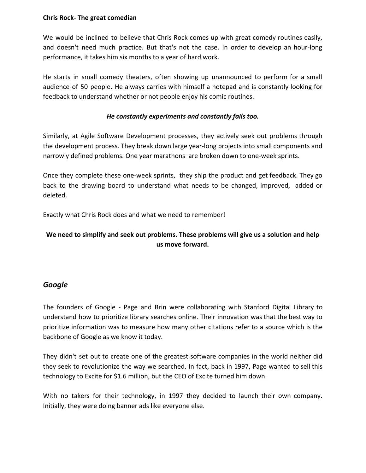#### **Chris Rock- The great comedian**

We would be inclined to believe that Chris Rock comes up with great comedy routines easily, and doesn't need much practice. But that's not the case. In order to develop an hour-long performance, it takes him six months to a year of hard work.

He starts in small comedy theaters, often showing up unannounced to perform for a small audience of 50 people. He always carries with himself a notepad and is constantly looking for feedback to understand whether or not people enjoy his comic routines.

#### *He constantly experiments and constantly fails too.*

Similarly, at Agile Software Development processes, they actively seek out problems through the development process. They break down large year-long projects into small components and narrowly defined problems. One year marathons are broken down to one-week sprints.

Once they complete these one-week sprints, they ship the product and get feedback. They go back to the drawing board to understand what needs to be changed, improved, added or deleted.

Exactly what Chris Rock does and what we need to remember!

## **We need to simplify and seek out problems. These problems will give us a solution and help us move forward.**

### *Google*

The founders of Google - Page and Brin were collaborating with Stanford Digital Library to understand how to prioritize library searches online. Their innovation was that the best way to prioritize information was to measure how many other citations refer to a source which is the backbone of Google as we know it today.

They didn't set out to create one of the greatest software companies in the world neither did they seek to revolutionize the way we searched. In fact, back in 1997, Page wanted to sell this technology to Excite for \$1.6 million, but the CEO of Excite turned him down.

With no takers for their technology, in 1997 they decided to launch their own company. Initially, they were doing banner ads like everyone else.